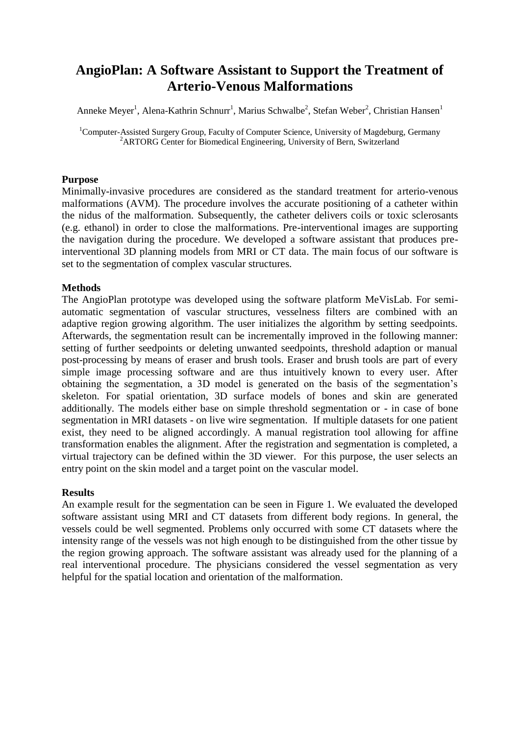# **AngioPlan: A Software Assistant to Support the Treatment of Arterio-Venous Malformations**

Anneke Meyer<sup>1</sup>, Alena-Kathrin Schnurr<sup>1</sup>, Marius Schwalbe<sup>2</sup>, Stefan Weber<sup>2</sup>, Christian Hansen<sup>1</sup>

<sup>1</sup>Computer-Assisted Surgery Group, Faculty of Computer Science, University of Magdeburg, Germany <sup>2</sup>ARTORG Center for Biomedical Engineering, University of Bern, Switzerland

## **Purpose**

Minimally-invasive procedures are considered as the standard treatment for arterio-venous malformations (AVM). The procedure involves the accurate positioning of a catheter within the nidus of the malformation. Subsequently, the catheter delivers coils or toxic sclerosants (e.g. ethanol) in order to close the malformations. Pre-interventional images are supporting the navigation during the procedure. We developed a software assistant that produces preinterventional 3D planning models from MRI or CT data. The main focus of our software is set to the segmentation of complex vascular structures.

## **Methods**

The AngioPlan prototype was developed using the software platform MeVisLab. For semiautomatic segmentation of vascular structures, vesselness filters are combined with an adaptive region growing algorithm. The user initializes the algorithm by setting seedpoints. Afterwards, the segmentation result can be incrementally improved in the following manner: setting of further seedpoints or deleting unwanted seedpoints, threshold adaption or manual post-processing by means of eraser and brush tools. Eraser and brush tools are part of every simple image processing software and are thus intuitively known to every user. After obtaining the segmentation, a 3D model is generated on the basis of the segmentation's skeleton. For spatial orientation, 3D surface models of bones and skin are generated additionally. The models either base on simple threshold segmentation or - in case of bone segmentation in MRI datasets - on live wire segmentation. If multiple datasets for one patient exist, they need to be aligned accordingly. A manual registration tool allowing for affine transformation enables the alignment. After the registration and segmentation is completed, a virtual trajectory can be defined within the 3D viewer. For this purpose, the user selects an entry point on the skin model and a target point on the vascular model.

#### **Results**

An example result for the segmentation can be seen in Figure 1. We evaluated the developed software assistant using MRI and CT datasets from different body regions. In general, the vessels could be well segmented. Problems only occurred with some CT datasets where the intensity range of the vessels was not high enough to be distinguished from the other tissue by the region growing approach. The software assistant was already used for the planning of a real interventional procedure. The physicians considered the vessel segmentation as very helpful for the spatial location and orientation of the malformation.